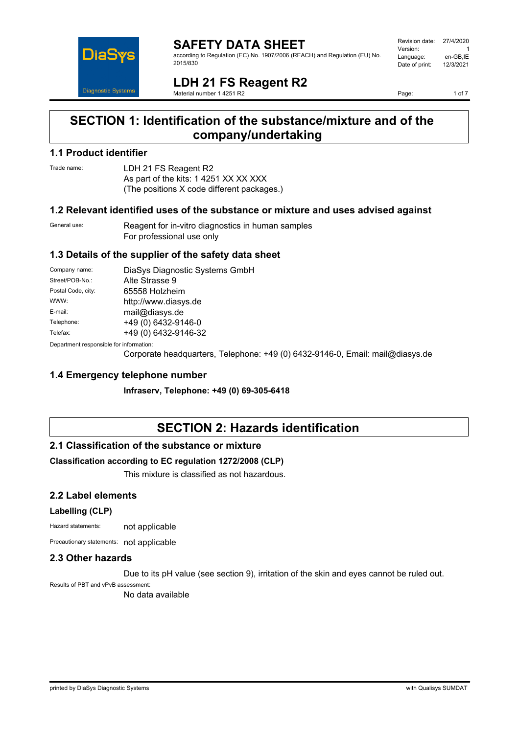

#### **SAFETY DATA SHEET** according to Regulation (EC) No. 1907/2006 (REACH) and Regulation (EU) No. 2015/830

| Revision date: | 27/4/2020 |
|----------------|-----------|
| Version:       |           |
| Language:      | en-GB.IE  |
| Date of print: | 12/3/2021 |
|                |           |

**LDH 21 FS Reagent R2** Material number 1 4251 R2

Page: 1 of 7

# **SECTION 1: Identification of the substance/mixture and of the company/undertaking**

### **1.1 Product identifier**

Trade name: LDH 21 FS Reagent R2 As part of the kits: 1 4251 XX XX XXX (The positions X code different packages.)

#### **1.2 Relevant identified uses of the substance or mixture and uses advised against**

General use: Reagent for in-vitro diagnostics in human samples For professional use only

### **1.3 Details of the supplier of the safety data sheet**

| Company name:                                            | DiaSys Diagnostic Systems GmbH |
|----------------------------------------------------------|--------------------------------|
| Street/POB-No.:                                          | Alte Strasse 9                 |
| Postal Code, city:                                       | 65558 Holzheim                 |
| WWW:                                                     | http://www.diasys.de           |
| E-mail:                                                  | mail@diasys.de                 |
| Telephone:                                               | +49 (0) 6432-9146-0            |
| Telefax:                                                 | +49 (0) 6432-9146-32           |
| Description and an americally from the former of the co- |                                |

Department responsible for information:

Corporate headquarters, Telephone: +49 (0) 6432-9146-0, Email: mail@diasys.de

#### **1.4 Emergency telephone number**

**Infraserv, Telephone: +49 (0) 69-305-6418**

# **SECTION 2: Hazards identification**

#### **2.1 Classification of the substance or mixture**

#### **Classification according to EC regulation 1272/2008 (CLP)**

This mixture is classified as not hazardous.

### **2.2 Label elements**

#### **Labelling (CLP)**

Hazard statements: not applicable

Precautionary statements: not applicable

#### **2.3 Other hazards**

Due to its pH value (see section 9), irritation of the skin and eyes cannot be ruled out.

Results of PBT and vPvB assessment:

No data available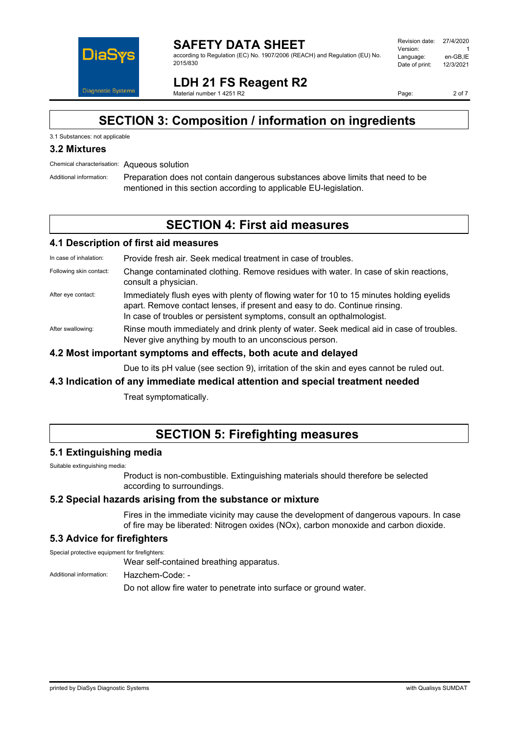

**SAFETY DATA SHEET** according to Regulation (EC) No. 1907/2006 (REACH) and Regulation (EU) No. 2015/830

| Revision date: | 27/4/2020 |
|----------------|-----------|
|                |           |
| Version:       |           |
| Language:      | en-GB.IE  |
| Date of print: | 12/3/2021 |
|                |           |

**LDH 21 FS Reagent R2** Material number 1 4251 R2

Page: 2 of 7

# **SECTION 3: Composition / information on ingredients**

#### 3.1 Substances: not applicable

#### **3.2 Mixtures**

Chemical characterisation: Aqueous solution

Additional information: Preparation does not contain dangerous substances above limits that need to be mentioned in this section according to applicable EU-legislation.

### **SECTION 4: First aid measures**

#### **4.1 Description of first aid measures**

In case of inhalation: Provide fresh air. Seek medical treatment in case of troubles.

- Following skin contact: Change contaminated clothing. Remove residues with water. In case of skin reactions, consult a physician.
- After eye contact: Immediately flush eyes with plenty of flowing water for 10 to 15 minutes holding eyelids apart. Remove contact lenses, if present and easy to do. Continue rinsing. In case of troubles or persistent symptoms, consult an opthalmologist.
- After swallowing: Rinse mouth immediately and drink plenty of water. Seek medical aid in case of troubles. Never give anything by mouth to an unconscious person.

#### **4.2 Most important symptoms and effects, both acute and delayed**

Due to its pH value (see section 9), irritation of the skin and eyes cannot be ruled out.

#### **4.3 Indication of any immediate medical attention and special treatment needed**

Treat symptomatically.

### **SECTION 5: Firefighting measures**

#### **5.1 Extinguishing media**

Suitable extinguishing media:

Product is non-combustible. Extinguishing materials should therefore be selected according to surroundings.

#### **5.2 Special hazards arising from the substance or mixture**

Fires in the immediate vicinity may cause the development of dangerous vapours. In case of fire may be liberated: Nitrogen oxides (NOx), carbon monoxide and carbon dioxide.

### **5.3 Advice for firefighters**

Special protective equipment for firefighters:

Wear self-contained breathing apparatus.

Additional information: Hazchem-Code: -

Do not allow fire water to penetrate into surface or ground water.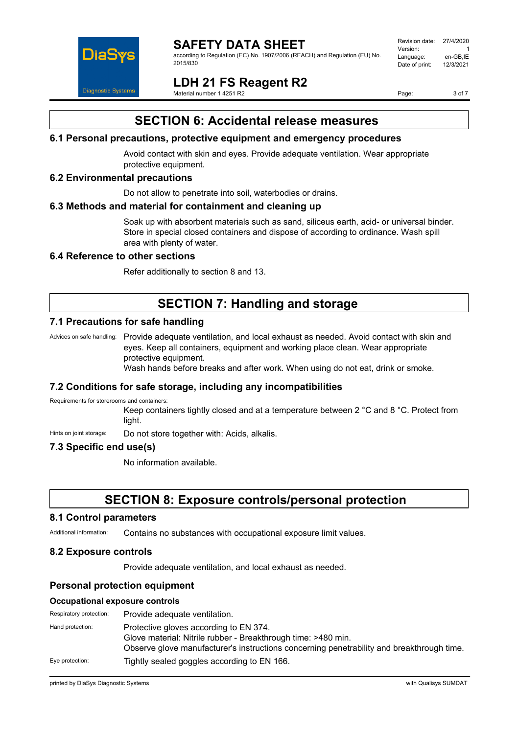

according to Regulation (EC) No. 1907/2006 (REACH) and Regulation (EU) No. 2015/830

#### Revision date: 27/4/2020 Version: 1<br>العربية العربية العربية العربية<br>Language: 1 en-GB IE Language: en-GB,IE<br>Date of print: 12/3/2021 Date of print:

**LDH 21 FS Reagent R2** Material number 1 4251 R2

Page: 3 of 7

# **SECTION 6: Accidental release measures**

#### **6.1 Personal precautions, protective equipment and emergency procedures**

Avoid contact with skin and eyes. Provide adequate ventilation. Wear appropriate protective equipment.

#### **6.2 Environmental precautions**

Do not allow to penetrate into soil, waterbodies or drains.

#### **6.3 Methods and material for containment and cleaning up**

Soak up with absorbent materials such as sand, siliceus earth, acid- or universal binder. Store in special closed containers and dispose of according to ordinance. Wash spill area with plenty of water.

#### **6.4 Reference to other sections**

Refer additionally to section 8 and 13.

# **SECTION 7: Handling and storage**

### **7.1 Precautions for safe handling**

Advices on safe handling: Provide adequate ventilation, and local exhaust as needed. Avoid contact with skin and eyes. Keep all containers, equipment and working place clean. Wear appropriate protective equipment.

Wash hands before breaks and after work. When using do not eat, drink or smoke.

#### **7.2 Conditions for safe storage, including any incompatibilities**

Requirements for storerooms and containers:

Keep containers tightly closed and at a temperature between 2 °C and 8 °C. Protect from light.

Hints on joint storage: Do not store together with: Acids, alkalis.

### **7.3 Specific end use(s)**

No information available.

### **SECTION 8: Exposure controls/personal protection**

#### **8.1 Control parameters**

Additional information: Contains no substances with occupational exposure limit values.

#### **8.2 Exposure controls**

Provide adequate ventilation, and local exhaust as needed.

#### **Personal protection equipment**

#### **Occupational exposure controls**

| Respiratory protection: | Provide adequate ventilation.                                                                                                                                                                        |
|-------------------------|------------------------------------------------------------------------------------------------------------------------------------------------------------------------------------------------------|
| Hand protection:        | Protective gloves according to EN 374.<br>Glove material: Nitrile rubber - Breakthrough time: >480 min.<br>Observe glove manufacturer's instructions concerning penetrability and breakthrough time. |
| Eye protection:         | Tightly sealed goggles according to EN 166.                                                                                                                                                          |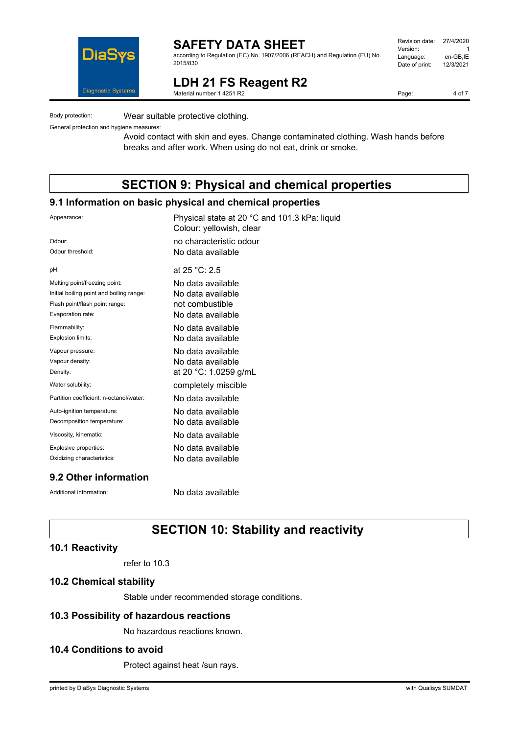

according to Regulation (EC) No. 1907/2006 (REACH) and Regulation (EU) No. 2015/830

| Revision date: | 27/4/2020 |
|----------------|-----------|
| Version:       |           |
| Language:      | en-GB,IE  |
| Date of print: | 12/3/2021 |
|                |           |

**LDH 21 FS Reagent R2** Material number 1 4251 R2

Page: 4 of 7

Body protection: Wear suitable protective clothing.

General protection and hygiene measures:

Avoid contact with skin and eyes. Change contaminated clothing. Wash hands before breaks and after work. When using do not eat, drink or smoke.

# **SECTION 9: Physical and chemical properties**

#### **9.1 Information on basic physical and chemical properties**

| Appearance:                              | Physical state at 20 °C and 101.3 kPa: liquid<br>Colour: yellowish, clear |
|------------------------------------------|---------------------------------------------------------------------------|
| Odour:                                   | no characteristic odour                                                   |
| Odour threshold:                         | No data available                                                         |
| pH:                                      | at 25 °C: 2.5                                                             |
| Melting point/freezing point:            | No data available                                                         |
| Initial boiling point and boiling range: | No data available                                                         |
| Flash point/flash point range:           | not combustible                                                           |
| Evaporation rate:                        | No data available                                                         |
| Flammability:                            | No data available                                                         |
| Explosion limits:                        | No data available                                                         |
| Vapour pressure:                         | No data available                                                         |
| Vapour density:                          | No data available                                                         |
| Density:                                 | at 20 °C: 1.0259 g/mL                                                     |
| Water solubility:                        | completely miscible                                                       |
| Partition coefficient: n-octanol/water:  | No data available                                                         |
| Auto-ignition temperature:               | No data available                                                         |
| Decomposition temperature:               | No data available                                                         |
| Viscosity, kinematic:                    | No data available                                                         |
| Explosive properties:                    | No data available                                                         |
| Oxidizing characteristics:               | No data available                                                         |
|                                          |                                                                           |

### **9.2 Other information**

Additional information: No data available

# **SECTION 10: Stability and reactivity**

#### **10.1 Reactivity**

refer to 10.3

#### **10.2 Chemical stability**

Stable under recommended storage conditions.

#### **10.3 Possibility of hazardous reactions**

No hazardous reactions known.

### **10.4 Conditions to avoid**

Protect against heat /sun rays.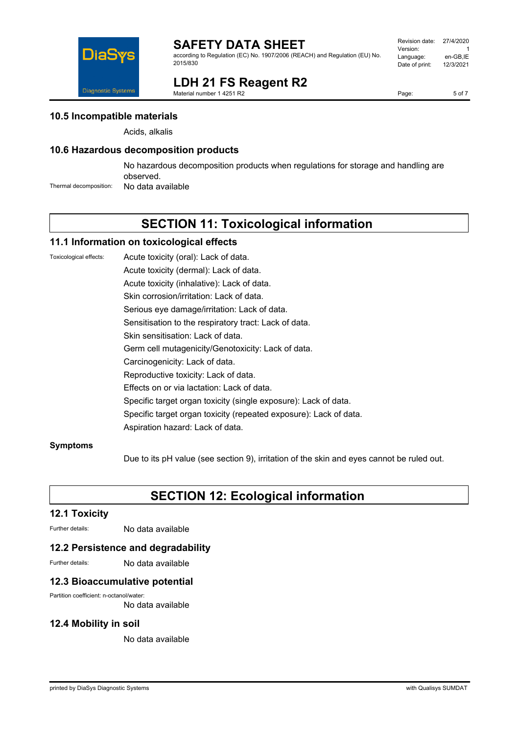

according to Regulation (EC) No. 1907/2006 (REACH) and Regulation (EU) No. 2015/830

| Revision date: | 27/4/2020 |
|----------------|-----------|
| Version:       |           |
| Language:      | en-GB,IE  |
| Date of print: | 12/3/2021 |
|                |           |

**LDH 21 FS Reagent R2** Material number 1 4251 R2

Page: 5 of 7

**10.5 Incompatible materials**

Diagnostic Systems

Acids, alkalis

### **10.6 Hazardous decomposition products**

No hazardous decomposition products when regulations for storage and handling are observed.

Thermal decomposition: No data available

# **SECTION 11: Toxicological information**

#### **11.1 Information on toxicological effects**

Toxicological effects: Acute toxicity (oral): Lack of data.

Acute toxicity (dermal): Lack of data.

Acute toxicity (inhalative): Lack of data.

Skin corrosion/irritation: Lack of data.

Serious eye damage/irritation: Lack of data.

Sensitisation to the respiratory tract: Lack of data.

Skin sensitisation: Lack of data.

Germ cell mutagenicity/Genotoxicity: Lack of data.

Carcinogenicity: Lack of data.

Reproductive toxicity: Lack of data.

Effects on or via lactation: Lack of data.

Specific target organ toxicity (single exposure): Lack of data.

Specific target organ toxicity (repeated exposure): Lack of data.

Aspiration hazard: Lack of data.

#### **Symptoms**

Due to its pH value (see section 9), irritation of the skin and eyes cannot be ruled out.

# **SECTION 12: Ecological information**

### **12.1 Toxicity**

Further details: No data available

#### **12.2 Persistence and degradability**

Further details: No data available

### **12.3 Bioaccumulative potential**

Partition coefficient: n-octanol/water:

No data available

### **12.4 Mobility in soil**

No data available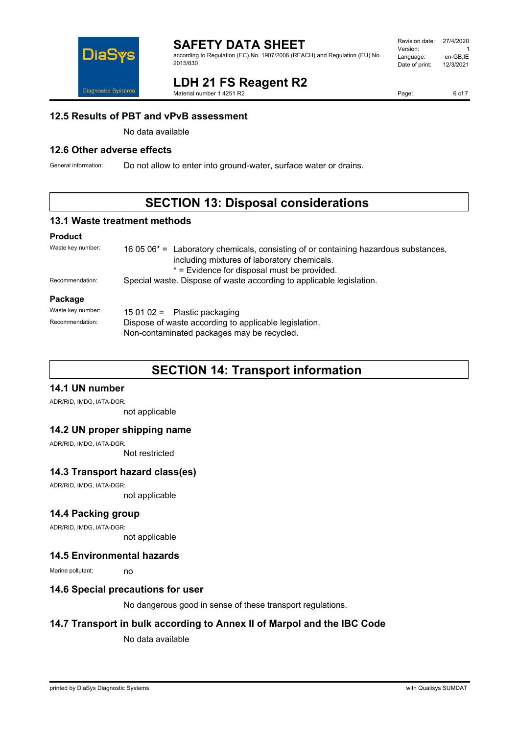

**LDH 21 FS Reagent R2**

according to Regulation (EC) No. 1907/2006 (REACH) and Regulation (EU) No. 2015/830

#### Revision date: 27/4/2020 Version:<br>Language: en-GB,IE<br>12/3/2021 Date of print:

Page: 6 of 7

# **12.5 Results of PBT and vPvB assessment**

No data available

#### **12.6 Other adverse effects**

General information: Do not allow to enter into ground-water, surface water or drains.

Material number 1 4251 R2

# **SECTION 13: Disposal considerations**

#### **13.1 Waste treatment methods**

#### **Product**

| Waste key number: | 16 05 $06*$ = Laboratory chemicals, consisting of or containing hazardous substances,<br>including mixtures of laboratory chemicals.<br>* = Evidence for disposal must be provided. |  |
|-------------------|-------------------------------------------------------------------------------------------------------------------------------------------------------------------------------------|--|
| Recommendation:   | Special waste. Dispose of waste according to applicable legislation.                                                                                                                |  |
| Package           |                                                                                                                                                                                     |  |
| Waste key number: | 15 01 02 = Plastic packaging                                                                                                                                                        |  |
| Recommendation:   | Dispose of waste according to applicable legislation.<br>Non-contaminated packages may be recycled.                                                                                 |  |

# **SECTION 14: Transport information**

### **14.1 UN number**

ADR/RID, IMDG, IATA-DGR:

not applicable

#### **14.2 UN proper shipping name**

ADR/RID, IMDG, IATA-DGR:

Not restricted

#### **14.3 Transport hazard class(es)**

ADR/RID, IMDG, IATA-DGR:

not applicable

#### **14.4 Packing group**

ADR/RID, IMDG, IATA-DGR:

not applicable

#### **14.5 Environmental hazards**

Marine pollutant: no

#### **14.6 Special precautions for user**

No dangerous good in sense of these transport regulations.

### **14.7 Transport in bulk according to Annex II of Marpol and the IBC Code**

No data available